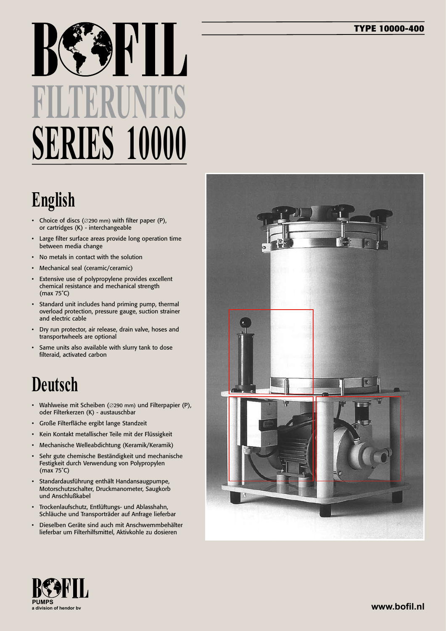#### **TYPE 10000-400**

# **FILTERUNITS SERIES 10000**

### **English**

- • Choice of discs (∅290 mm) with filter paper (P), or cartridges (K) - interchangeable
- Large filter surface areas provide long operation time between media change
- No metals in contact with the solution
- • Mechanical seal (ceramic/ceramic)
- • Extensive use of polypropylene provides excellent chemical resistance and mechanical strength (max 75˚C)
- • Standard unit includes hand priming pump, thermal overload protection, pressure gauge, suction strainer and electric cable
- • Dry run protector, air release, drain valve, hoses and transportwheels are optional
- Same units also available with slurry tank to dose filteraid, activated carbon

#### **Deutsch**

- • Wahlweise mit Scheiben (∅290 mm) und Filterpapier (P), oder Filterkerzen (K) - austauschbar
- Große Filterfläche ergibt lange Standzeit
- • Kein Kontakt metallischer Teile mit der Flüssigkeit
- Mechanische Welleabdichtung (Keramik/Keramik)
- Sehr gute chemische Beständigkeit und mechanische Festigkeit durch Verwendung von Polypropylen (max 75˚C)
- • Standardausführung enthält Handansaugpumpe, Motorschutzschalter, Druckmanometer, Saugkorb und Anschlußkabel
- • Trockenlaufschutz, Entlüftungs- und Ablasshahn, Schläuche und Transporträder auf Anfrage lieferbar
- Dieselben Geräte sind auch mit Anschwemmbehälter lieferbar um Filterhilfsmittel, Aktivkohle zu dosieren